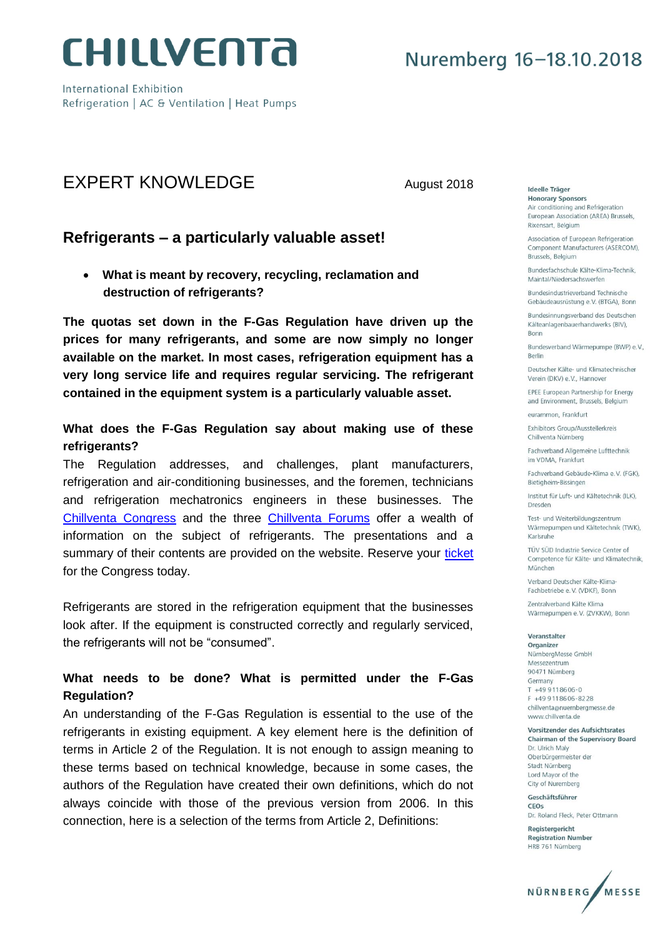

International Exhibition Refrigeration | AC & Ventilation | Heat Pumps

### EXPERT KNOWLEDGE August 2018

### **Refrigerants – a particularly valuable asset!**

 **What is meant by recovery, recycling, reclamation and destruction of refrigerants?**

**The quotas set down in the F-Gas Regulation have driven up the prices for many refrigerants, and some are now simply no longer available on the market. In most cases, refrigeration equipment has a very long service life and requires regular servicing. The refrigerant contained in the equipment system is a particularly valuable asset.**

#### **What does the F-Gas Regulation say about making use of these refrigerants?**

The Regulation addresses, and challenges, plant manufacturers, refrigeration and air-conditioning businesses, and the foremen, technicians and refrigeration mechatronics engineers in these businesses. The [Chillventa Congress](https://www.chillventa.de/en/events/1/chillventa-congress/688613) and the three [Chillventa Forums](https://www.chillventa.de/en/events/1/specialist-forums/688614) offer a wealth of information on the subject of refrigerants. The presentations and a summary of their contents are provided on the website. Reserve your [ticket](https://www.chillventa.de/en/visitors/tickets/ticketshop) for the Congress today.

Refrigerants are stored in the refrigeration equipment that the businesses look after. If the equipment is constructed correctly and regularly serviced, the refrigerants will not be "consumed".

#### **What needs to be done? What is permitted under the F-Gas Regulation?**

An understanding of the F-Gas Regulation is essential to the use of the refrigerants in existing equipment. A key element here is the definition of terms in Article 2 of the Regulation. It is not enough to assign meaning to these terms based on technical knowledge, because in some cases, the authors of the Regulation have created their own definitions, which do not always coincide with those of the previous version from 2006. In this connection, here is a selection of the terms from Article 2, Definitions:

Ideelle Träger **Honorary Sponsors** Air conditioning and Refrigeration European Association (AREA) Brussels, Rixensart, Belgium

Association of European Refrigeration Component Manufacturers (ASERCOM), Brussels, Belgium

Bundesfachschule Kälte-Klima-Technik. Maintal/Niedersachswerfen

**Bundesindustrieverhand Technische** Gebäudeausrüstung e.V. (BTGA), Bonn

Bundesinnungsverband des Deutschen Kälteanlagenbauerhandwerks (BIV), **Bonn** 

Bundesverband Wärmepumpe (BWP) e.V., **Berlin** 

Deutscher Kälte- und Klimatechnischer Verein (DKV) e.V., Hannover

EPEE European Partnership for Energy and Environment, Brussels, Belgium

eurammon Frankfurt

Exhibitors Group/Ausstellerkreis Chillventa Nürnberg

Fachverband Allgemeine Lufttechnik im VDMA, Frankfurt

Fachverband Gebäude-Klima e.V. (FGK). Bietigheim-Bissingen

Institut für Luft- und Kältetechnik (ILK). Dresden

Test- und Weiterbildungszentrum Wärmepumpen und Kältetechnik (TWK), Karlsruhe

TÜV SÜD Industrie Service Center of Competence für Kälte- und Klimatechnik, München

Verband Deutscher Kälte-Klima-Fachbetriebe e.V. (VDKF), Bonn

Zentralverband Kälte Klima Wärmepumpen e.V. (ZVKKW), Bonn

Veranstalter

Organizer NürnbergMesse GmbH Messezentrum 90471 Nürnberg Germany  $T + 499118606 - 0$ F +49 9 11 8606-8228 chillventa@nuernbergmesse.de www.chillventa.de

Vorsitzender des Aufsichtsrates Chairman of the Supervisory Board Dr. Ulrich Maly Oberbürgermeister der Stadt Nürnberg Lord Mayor of the City of Nuremberg

Geschäftsführer CEOS Dr. Roland Fleck, Peter Ottmann

Registergericht **Registration Number** HRB 761 Nürnberg

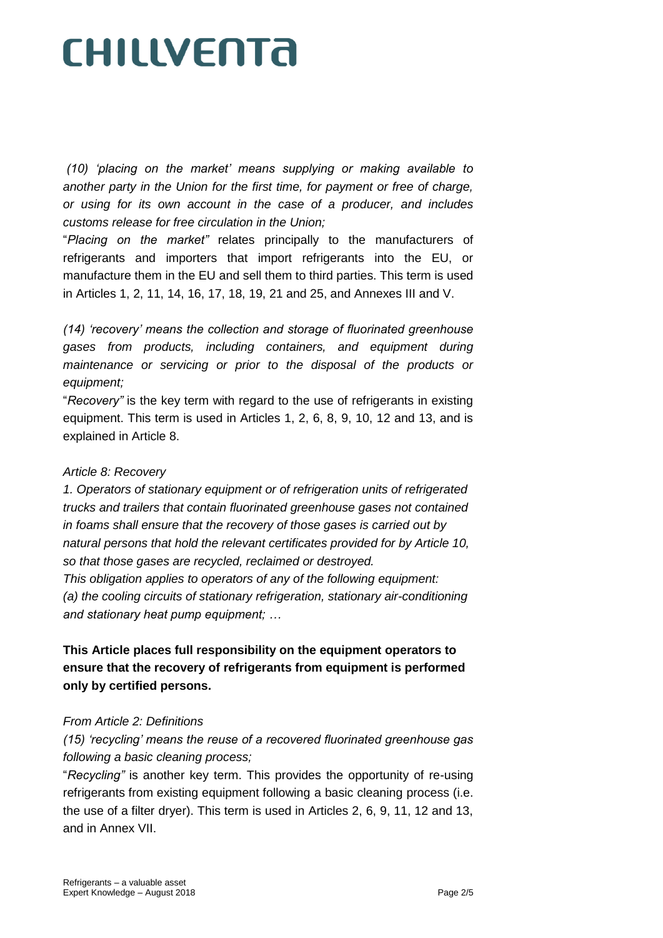*(10) 'placing on the market' means supplying or making available to*  another party in the Union for the first time, for payment or free of charge, *or using for its own account in the case of a producer, and includes customs release for free circulation in the Union;*

"*Placing on the market"* relates principally to the manufacturers of refrigerants and importers that import refrigerants into the EU, or manufacture them in the EU and sell them to third parties. This term is used in Articles 1, 2, 11, 14, 16, 17, 18, 19, 21 and 25, and Annexes III and V.

*(14) 'recovery' means the collection and storage of fluorinated greenhouse gases from products, including containers, and equipment during maintenance or servicing or prior to the disposal of the products or equipment;*

"*Recovery"* is the key term with regard to the use of refrigerants in existing equipment. This term is used in Articles 1, 2, 6, 8, 9, 10, 12 and 13, and is explained in Article 8.

#### *Article 8: Recovery*

*1. Operators of stationary equipment or of refrigeration units of refrigerated trucks and trailers that contain fluorinated greenhouse gases not contained in foams shall ensure that the recovery of those gases is carried out by natural persons that hold the relevant certificates provided for by Article 10, so that those gases are recycled, reclaimed or destroyed.*

*This obligation applies to operators of any of the following equipment: (a) the cooling circuits of stationary refrigeration, stationary air-conditioning and stationary heat pump equipment; …*

### **This Article places full responsibility on the equipment operators to ensure that the recovery of refrigerants from equipment is performed only by certified persons.**

#### *From Article 2: Definitions*

*(15) 'recycling' means the reuse of a recovered fluorinated greenhouse gas following a basic cleaning process;*

"*Recycling"* is another key term. This provides the opportunity of re-using refrigerants from existing equipment following a basic cleaning process (i.e. the use of a filter dryer). This term is used in Articles 2, 6, 9, 11, 12 and 13, and in Annex VII.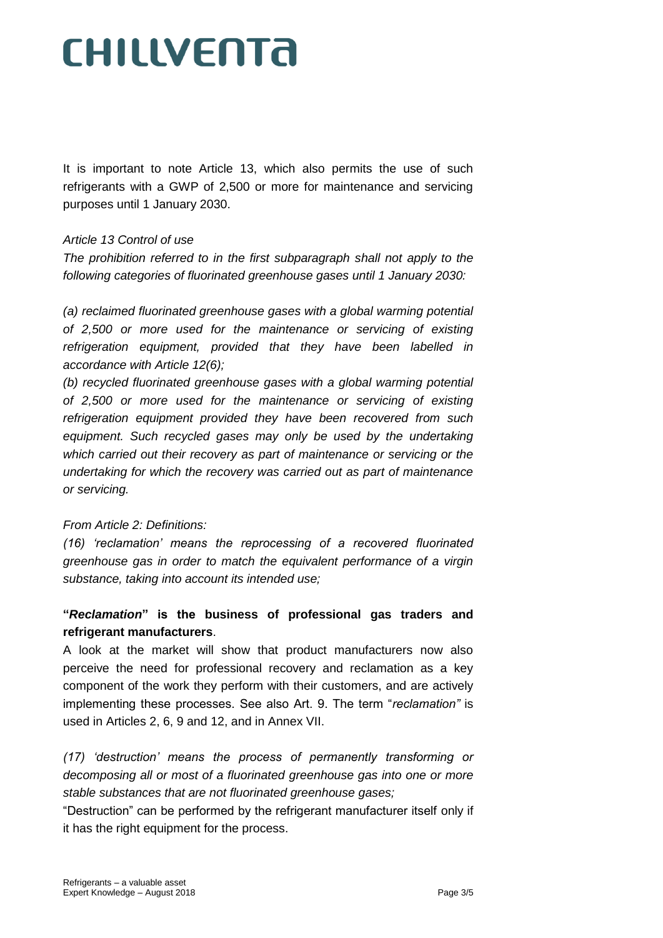It is important to note Article 13, which also permits the use of such refrigerants with a GWP of 2,500 or more for maintenance and servicing purposes until 1 January 2030.

#### *Article 13 Control of use*

*The prohibition referred to in the first subparagraph shall not apply to the following categories of fluorinated greenhouse gases until 1 January 2030:*

*(a) reclaimed fluorinated greenhouse gases with a global warming potential of 2,500 or more used for the maintenance or servicing of existing refrigeration equipment, provided that they have been labelled in accordance with Article 12(6);*

*(b) recycled fluorinated greenhouse gases with a global warming potential of 2,500 or more used for the maintenance or servicing of existing refrigeration equipment provided they have been recovered from such*  equipment. Such recycled gases may only be used by the undertaking *which carried out their recovery as part of maintenance or servicing or the undertaking for which the recovery was carried out as part of maintenance or servicing.*

#### *From Article 2: Definitions:*

*(16) 'reclamation' means the reprocessing of a recovered fluorinated greenhouse gas in order to match the equivalent performance of a virgin substance, taking into account its intended use;*

#### **"***Reclamation***" is the business of professional gas traders and refrigerant manufacturers**.

A look at the market will show that product manufacturers now also perceive the need for professional recovery and reclamation as a key component of the work they perform with their customers, and are actively implementing these processes. See also Art. 9. The term "*reclamation"* is used in Articles 2, 6, 9 and 12, and in Annex VII.

*(17) 'destruction' means the process of permanently transforming or decomposing all or most of a fluorinated greenhouse gas into one or more stable substances that are not fluorinated greenhouse gases;*

"Destruction" can be performed by the refrigerant manufacturer itself only if it has the right equipment for the process.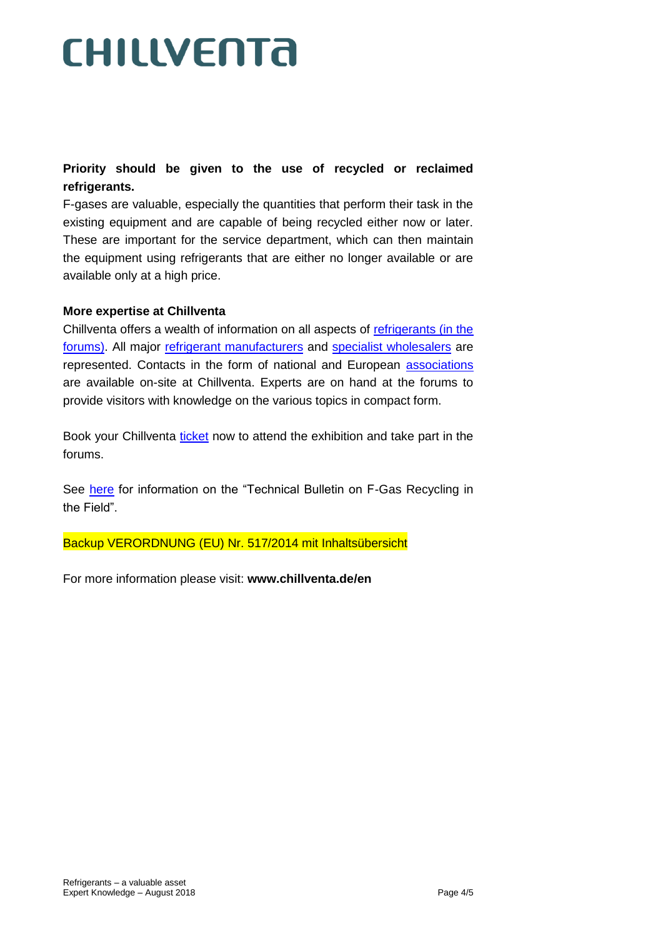### **Priority should be given to the use of recycled or reclaimed refrigerants.**

F-gases are valuable, especially the quantities that perform their task in the existing equipment and are capable of being recycled either now or later. These are important for the service department, which can then maintain the equipment using refrigerants that are either no longer available or are available only at a high price.

#### **More expertise at Chillventa**

Chillventa offers a wealth of information on all aspects of [refrigerants \(in the](https://www.chillventa.de/en/suche?search_valueold=refrigerants&search_value=refrigerants&x=0&y=0)  [forums\).](https://www.chillventa.de/en/suche?search_valueold=refrigerants&search_value=refrigerants&x=0&y=0) All major [refrigerant manufacturers](https://www.chillventa.de/en/ausstellerprodukte/edb3searchnew?catids=29087198) and [specialist wholesalers](https://www.chillventa.de/en/ausstellerprodukte/edb3searchnew?catids=29087272) are represented. Contacts in the form of national and European [associations](https://www.chillventa.de/en/ausstellerprodukte/edb3searchnew?zip=&catids=29087275&halls=&countries=&edbid=&filterchar=&items=50&search=&tab=1) are available on-site at Chillventa. Experts are on hand at the forums to provide visitors with knowledge on the various topics in compact form.

Book your Chillventa [ticket](https://www.chillventa.de/en/visitors/tickets/ticketshop) now to attend the exhibition and take part in the forums.

See [here](http://area-eur.be/publications/technical-bulletin-fgas-recycling) for information on the "Technical Bulletin on F-Gas Recycling in the Field".

Backup VERORDNUNG (EU) Nr. 517/2014 mit Inhaltsübersicht

For more information please visit: **www.chillventa.de/en**